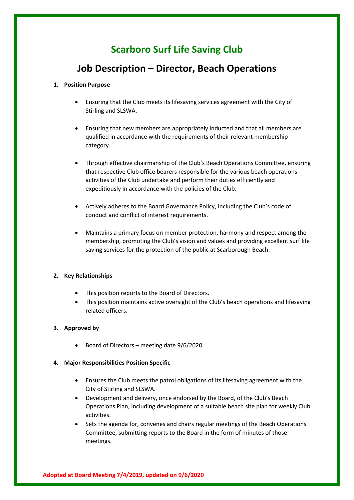# **Scarboro Surf Life Saving Club**

# **Job Description – Director, Beach Operations**

## **1. Position Purpose**

- Ensuring that the Club meets its lifesaving services agreement with the City of Stirling and SLSWA.
- Ensuring that new members are appropriately inducted and that all members are qualified in accordance with the requirements of their relevant membership category.
- Through effective chairmanship of the Club's Beach Operations Committee, ensuring that respective Club office bearers responsible for the various beach operations activities of the Club undertake and perform their duties efficiently and expeditiously in accordance with the policies of the Club.
- Actively adheres to the Board Governance Policy, including the Club's code of conduct and conflict of interest requirements.
- Maintains a primary focus on member protection, harmony and respect among the membership, promoting the Club's vision and values and providing excellent surf life saving services for the protection of the public at Scarborough Beach.

# **2. Key Relationships**

- This position reports to the Board of Directors.
- This position maintains active oversight of the Club's beach operations and lifesaving related officers.

# **3. Approved by**

• Board of Directors – meeting date 9/6/2020.

#### **4. Major Responsibilities Position Specific**

- Ensures the Club meets the patrol obligations of its lifesaving agreement with the City of Stirling and SLSWA.
- Development and delivery, once endorsed by the Board, of the Club's Beach Operations Plan, including development of a suitable beach site plan for weekly Club activities.
- Sets the agenda for, convenes and chairs regular meetings of the Beach Operations Committee, submitting reports to the Board in the form of minutes of those meetings.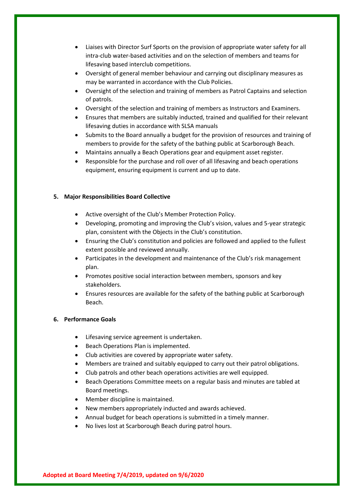- Liaises with Director Surf Sports on the provision of appropriate water safety for all intra-club water-based activities and on the selection of members and teams for lifesaving based interclub competitions.
- Oversight of general member behaviour and carrying out disciplinary measures as may be warranted in accordance with the Club Policies.
- Oversight of the selection and training of members as Patrol Captains and selection of patrols.
- Oversight of the selection and training of members as Instructors and Examiners.
- Ensures that members are suitably inducted, trained and qualified for their relevant lifesaving duties in accordance with SLSA manuals
- Submits to the Board annually a budget for the provision of resources and training of members to provide for the safety of the bathing public at Scarborough Beach.
- Maintains annually a Beach Operations gear and equipment asset register.
- Responsible for the purchase and roll over of all lifesaving and beach operations equipment, ensuring equipment is current and up to date.

#### **5. Major Responsibilities Board Collective**

- Active oversight of the Club's Member Protection Policy.
- Developing, promoting and improving the Club's vision, values and 5-year strategic plan, consistent with the Objects in the Club's constitution.
- Ensuring the Club's constitution and policies are followed and applied to the fullest extent possible and reviewed annually.
- Participates in the development and maintenance of the Club's risk management plan.
- Promotes positive social interaction between members, sponsors and key stakeholders.
- Ensures resources are available for the safety of the bathing public at Scarborough Beach.

# **6. Performance Goals**

- Lifesaving service agreement is undertaken.
- Beach Operations Plan is implemented.
- Club activities are covered by appropriate water safety.
- Members are trained and suitably equipped to carry out their patrol obligations.
- Club patrols and other beach operations activities are well equipped.
- Beach Operations Committee meets on a regular basis and minutes are tabled at Board meetings.
- Member discipline is maintained.
- New members appropriately inducted and awards achieved.
- Annual budget for beach operations is submitted in a timely manner.
- No lives lost at Scarborough Beach during patrol hours.